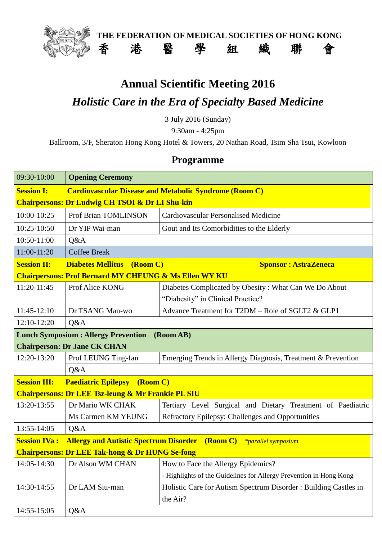

**THE FEDERATION OF MEDICAL SOCIETIES OF HONG KONG** 香 港 醫 學 組 織 聯 會

## **Annual Scientific Meeting 2016** *Holistic Care in the Era of Specialty Based Medicine*

3 July 2016 (Sunday)

9:30am - 4:25pm

Ballroom, 3/F, Sheraton Hong Kong Hotel & Towers, 20 Nathan Road, Tsim Sha Tsui, Kowloon

## **Programme**

| 09:30-10:00                                                      | <b>Opening Ceremony</b>                                                                 |                                                                    |  |
|------------------------------------------------------------------|-----------------------------------------------------------------------------------------|--------------------------------------------------------------------|--|
| <b>Session I:</b>                                                | <b>Cardiovascular Disease and Metabolic Syndrome (Room C)</b>                           |                                                                    |  |
| <b>Chairpersons: Dr Ludwig CH TSOI &amp; Dr LI Shu-kin</b>       |                                                                                         |                                                                    |  |
| 10:00-10:25                                                      | Prof Brian TOMLINSON                                                                    | <b>Cardiovascular Personalised Medicine</b>                        |  |
| 10:25-10:50                                                      | Dr YIP Wai-man                                                                          | Gout and Its Comorbidities to the Elderly                          |  |
| 10:50-11:00                                                      | Q&A                                                                                     |                                                                    |  |
| 11:00-11:20                                                      | <b>Coffee Break</b>                                                                     |                                                                    |  |
| <b>Session II:</b>                                               | <b>Diabetes Mellitus</b><br>(Room C)<br><b>Sponsor: AstraZeneca</b>                     |                                                                    |  |
| <b>Chairpersons: Prof Bernard MY CHEUNG &amp; Ms Ellen WY KU</b> |                                                                                         |                                                                    |  |
| 11:20-11:45                                                      | Prof Alice KONG                                                                         | Diabetes Complicated by Obesity: What Can We Do About              |  |
|                                                                  |                                                                                         | "Diabesity" in Clinical Practice?                                  |  |
| $11:45-12:10$                                                    | Dr TSANG Man-wo                                                                         | Advance Treatment for T2DM – Role of SGLT2 & GLP1                  |  |
| 12:10-12:20                                                      | Q&A                                                                                     |                                                                    |  |
| <b>Lunch Symposium : Allergy Prevention</b><br>(Room AB)         |                                                                                         |                                                                    |  |
| <b>Chairperson: Dr Jane CK CHAN</b>                              |                                                                                         |                                                                    |  |
| 12:20-13:20                                                      | Prof LEUNG Ting-fan                                                                     | Emerging Trends in Allergy Diagnosis, Treatment & Prevention       |  |
|                                                                  | Q&A                                                                                     |                                                                    |  |
| <b>Session III:</b>                                              | <b>Paediatric Epilepsy</b> (Room C)                                                     |                                                                    |  |
| <b>Chairpersons: Dr LEE Tsz-leung &amp; Mr Frankie PL SIU</b>    |                                                                                         |                                                                    |  |
| 13:20-13:55                                                      | Dr Mario WK CHAK                                                                        | Tertiary Level Surgical and Dietary Treatment of Paediatric        |  |
|                                                                  | Ms Carmen KM YEUNG                                                                      | Refractory Epilepsy: Challenges and Opportunities                  |  |
| 13:55-14:05                                                      | Q&A                                                                                     |                                                                    |  |
| <b>Session IVa:</b>                                              | <b>Allergy and Autistic Spectrum Disorder</b><br>(Room C)<br><i>*parallel symposium</i> |                                                                    |  |
| <b>Chairpersons: Dr LEE Tak-hong &amp; Dr HUNG Se-fong</b>       |                                                                                         |                                                                    |  |
| 14:05-14:30                                                      | Dr Alson WM CHAN                                                                        | How to Face the Allergy Epidemics?                                 |  |
|                                                                  |                                                                                         | - Highlights of the Guidelines for Allergy Prevention in Hong Kong |  |
| 14:30-14:55                                                      | Dr LAM Siu-man                                                                          | Holistic Care for Autism Spectrum Disorder: Building Castles in    |  |
|                                                                  |                                                                                         | the Air?                                                           |  |
| 14:55-15:05                                                      | Q&A                                                                                     |                                                                    |  |